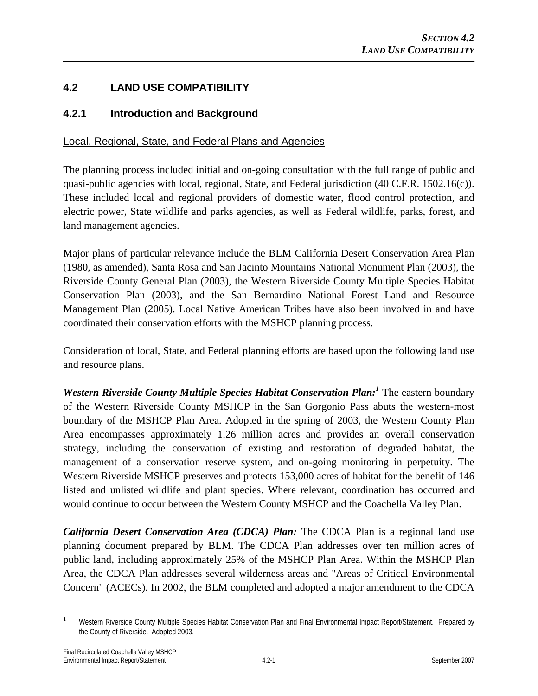# **4.2 LAND USE COMPATIBILITY**

# **4.2.1 Introduction and Background**

## Local, Regional, State, and Federal Plans and Agencies

The planning process included initial and on-going consultation with the full range of public and quasi-public agencies with local, regional, State, and Federal jurisdiction (40 C.F.R. 1502.16(c)). These included local and regional providers of domestic water, flood control protection, and electric power, State wildlife and parks agencies, as well as Federal wildlife, parks, forest, and land management agencies.

Major plans of particular relevance include the BLM California Desert Conservation Area Plan (1980, as amended), Santa Rosa and San Jacinto Mountains National Monument Plan (2003), the Riverside County General Plan (2003), the Western Riverside County Multiple Species Habitat Conservation Plan (2003), and the San Bernardino National Forest Land and Resource Management Plan (2005). Local Native American Tribes have also been involved in and have coordinated their conservation efforts with the MSHCP planning process.

Consideration of local, State, and Federal planning efforts are based upon the following land use and resource plans.

*Western Riverside County Multiple Species Habitat Conservation Plan:<sup>1</sup>* The eastern boundary of the Western Riverside County MSHCP in the San Gorgonio Pass abuts the western-most boundary of the MSHCP Plan Area. Adopted in the spring of 2003, the Western County Plan Area encompasses approximately 1.26 million acres and provides an overall conservation strategy, including the conservation of existing and restoration of degraded habitat, the management of a conservation reserve system, and on-going monitoring in perpetuity. The Western Riverside MSHCP preserves and protects 153,000 acres of habitat for the benefit of 146 listed and unlisted wildlife and plant species. Where relevant, coordination has occurred and would continue to occur between the Western County MSHCP and the Coachella Valley Plan.

*California Desert Conservation Area (CDCA) Plan:* The CDCA Plan is a regional land use planning document prepared by BLM. The CDCA Plan addresses over ten million acres of public land, including approximately 25% of the MSHCP Plan Area. Within the MSHCP Plan Area, the CDCA Plan addresses several wilderness areas and "Areas of Critical Environmental Concern" (ACECs). In 2002, the BLM completed and adopted a major amendment to the CDCA

 $\overline{a}$ 1 Western Riverside County Multiple Species Habitat Conservation Plan and Final Environmental Impact Report/Statement. Prepared by the County of Riverside. Adopted 2003.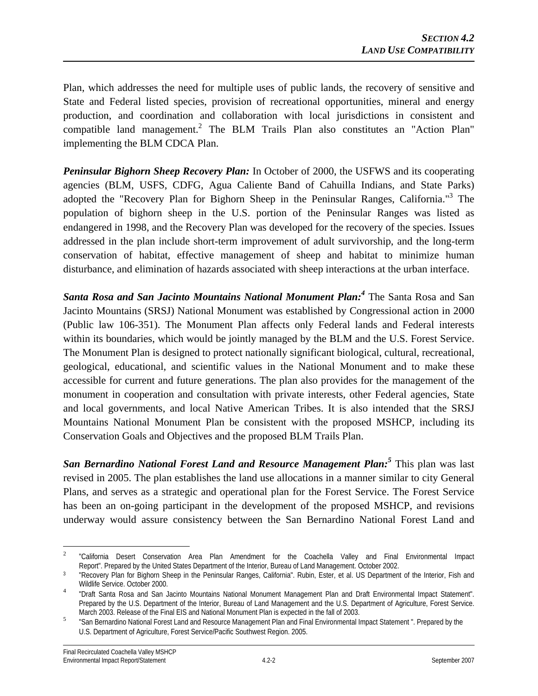Plan, which addresses the need for multiple uses of public lands, the recovery of sensitive and State and Federal listed species, provision of recreational opportunities, mineral and energy production, and coordination and collaboration with local jurisdictions in consistent and compatible land management.<sup>2</sup> The BLM Trails Plan also constitutes an "Action Plan" implementing the BLM CDCA Plan.

*Peninsular Bighorn Sheep Recovery Plan:* In October of 2000, the USFWS and its cooperating agencies (BLM, USFS, CDFG, Agua Caliente Band of Cahuilla Indians, and State Parks) adopted the "Recovery Plan for Bighorn Sheep in the Peninsular Ranges, California."<sup>3</sup> The population of bighorn sheep in the U.S. portion of the Peninsular Ranges was listed as endangered in 1998, and the Recovery Plan was developed for the recovery of the species. Issues addressed in the plan include short-term improvement of adult survivorship, and the long-term conservation of habitat, effective management of sheep and habitat to minimize human disturbance, and elimination of hazards associated with sheep interactions at the urban interface.

*Santa Rosa and San Jacinto Mountains National Monument Plan:4* The Santa Rosa and San Jacinto Mountains (SRSJ) National Monument was established by Congressional action in 2000 (Public law 106-351). The Monument Plan affects only Federal lands and Federal interests within its boundaries, which would be jointly managed by the BLM and the U.S. Forest Service. The Monument Plan is designed to protect nationally significant biological, cultural, recreational, geological, educational, and scientific values in the National Monument and to make these accessible for current and future generations. The plan also provides for the management of the monument in cooperation and consultation with private interests, other Federal agencies, State and local governments, and local Native American Tribes. It is also intended that the SRSJ Mountains National Monument Plan be consistent with the proposed MSHCP, including its Conservation Goals and Objectives and the proposed BLM Trails Plan.

*San Bernardino National Forest Land and Resource Management Plan:<sup>5</sup>* This plan was last revised in 2005. The plan establishes the land use allocations in a manner similar to city General Plans, and serves as a strategic and operational plan for the Forest Service. The Forest Service has been an on-going participant in the development of the proposed MSHCP, and revisions underway would assure consistency between the San Bernardino National Forest Land and

 $\overline{a}$ 

<sup>2</sup> "California Desert Conservation Area Plan Amendment for the Coachella Valley and Final Environmental Impact Report". Prepared by the United States Department of the Interior, Bureau of Land Management. October 2002.

<sup>&</sup>lt;sup>3</sup> "Recovery Plan for Bighorn Sheep in the Peninsular Ranges, California". Rubin, Ester, et al. US Department of the Interior, Fish and Wildlife Service. October 2000.

"Draft Santa Rosa and San Jacinto Mountains National Monument Management Plan and Draft Environmental Impact Statement". Prepared by the U.S. Department of the Interior, Bureau of Land Management and the U.S. Department of Agriculture, Forest Service. March 2003. Release of the Final EIS and National Monument Plan is expected in the fall of 2003.

"San Bernardino National Forest Land and Resource Management Plan and Final Environmental Impact Statement ". Prepared by the U.S. Department of Agriculture, Forest Service/Pacific Southwest Region. 2005.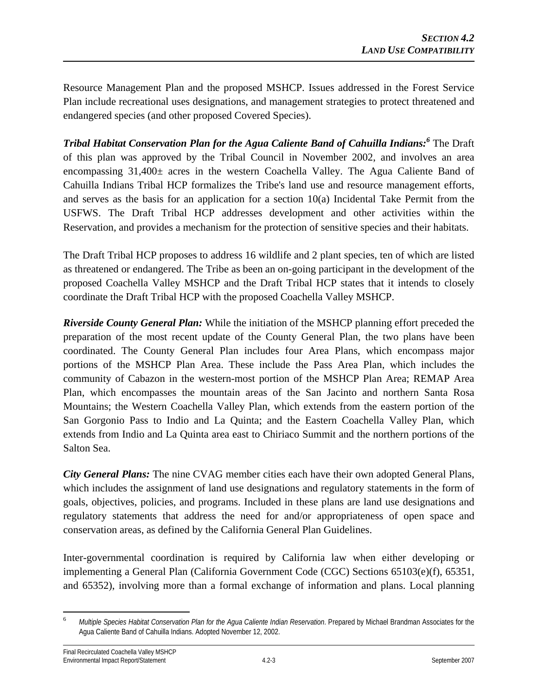Resource Management Plan and the proposed MSHCP. Issues addressed in the Forest Service Plan include recreational uses designations, and management strategies to protect threatened and endangered species (and other proposed Covered Species).

*Tribal Habitat Conservation Plan for the Agua Caliente Band of Cahuilla Indians:6* The Draft of this plan was approved by the Tribal Council in November 2002, and involves an area encompassing 31,400± acres in the western Coachella Valley. The Agua Caliente Band of Cahuilla Indians Tribal HCP formalizes the Tribe's land use and resource management efforts, and serves as the basis for an application for a section 10(a) Incidental Take Permit from the USFWS. The Draft Tribal HCP addresses development and other activities within the Reservation, and provides a mechanism for the protection of sensitive species and their habitats.

The Draft Tribal HCP proposes to address 16 wildlife and 2 plant species, ten of which are listed as threatened or endangered. The Tribe as been an on-going participant in the development of the proposed Coachella Valley MSHCP and the Draft Tribal HCP states that it intends to closely coordinate the Draft Tribal HCP with the proposed Coachella Valley MSHCP.

*Riverside County General Plan:* While the initiation of the MSHCP planning effort preceded the preparation of the most recent update of the County General Plan, the two plans have been coordinated. The County General Plan includes four Area Plans, which encompass major portions of the MSHCP Plan Area. These include the Pass Area Plan, which includes the community of Cabazon in the western-most portion of the MSHCP Plan Area; REMAP Area Plan, which encompasses the mountain areas of the San Jacinto and northern Santa Rosa Mountains; the Western Coachella Valley Plan, which extends from the eastern portion of the San Gorgonio Pass to Indio and La Quinta; and the Eastern Coachella Valley Plan, which extends from Indio and La Quinta area east to Chiriaco Summit and the northern portions of the Salton Sea.

*City General Plans:* The nine CVAG member cities each have their own adopted General Plans, which includes the assignment of land use designations and regulatory statements in the form of goals, objectives, policies, and programs. Included in these plans are land use designations and regulatory statements that address the need for and/or appropriateness of open space and conservation areas, as defined by the California General Plan Guidelines.

Inter-governmental coordination is required by California law when either developing or implementing a General Plan (California Government Code (CGC) Sections 65103(e)(f), 65351, and 65352), involving more than a formal exchange of information and plans. Local planning

 $\overline{a}$ 

<sup>6</sup> *Multiple Species Habitat Conservation Plan for the Agua Caliente Indian Reservation*. Prepared by Michael Brandman Associates for the Agua Caliente Band of Cahuilla Indians. Adopted November 12, 2002.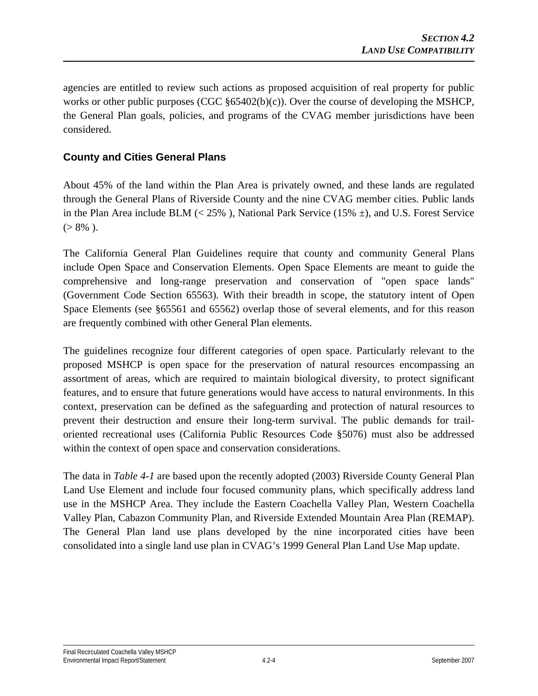agencies are entitled to review such actions as proposed acquisition of real property for public works or other public purposes (CGC §65402(b)(c)). Over the course of developing the MSHCP, the General Plan goals, policies, and programs of the CVAG member jurisdictions have been considered.

# **County and Cities General Plans**

About 45% of the land within the Plan Area is privately owned, and these lands are regulated through the General Plans of Riverside County and the nine CVAG member cities. Public lands in the Plan Area include BLM ( $\lt 25\%$ ), National Park Service (15%  $\pm$ ), and U.S. Forest Service  $(> 8\% )$ .

The California General Plan Guidelines require that county and community General Plans include Open Space and Conservation Elements. Open Space Elements are meant to guide the comprehensive and long-range preservation and conservation of "open space lands" (Government Code Section 65563). With their breadth in scope, the statutory intent of Open Space Elements (see §65561 and 65562) overlap those of several elements, and for this reason are frequently combined with other General Plan elements.

The guidelines recognize four different categories of open space. Particularly relevant to the proposed MSHCP is open space for the preservation of natural resources encompassing an assortment of areas, which are required to maintain biological diversity, to protect significant features, and to ensure that future generations would have access to natural environments. In this context, preservation can be defined as the safeguarding and protection of natural resources to prevent their destruction and ensure their long-term survival. The public demands for trailoriented recreational uses (California Public Resources Code §5076) must also be addressed within the context of open space and conservation considerations.

The data in *Table 4-1* are based upon the recently adopted (2003) Riverside County General Plan Land Use Element and include four focused community plans, which specifically address land use in the MSHCP Area. They include the Eastern Coachella Valley Plan, Western Coachella Valley Plan, Cabazon Community Plan, and Riverside Extended Mountain Area Plan (REMAP). The General Plan land use plans developed by the nine incorporated cities have been consolidated into a single land use plan in CVAG's 1999 General Plan Land Use Map update.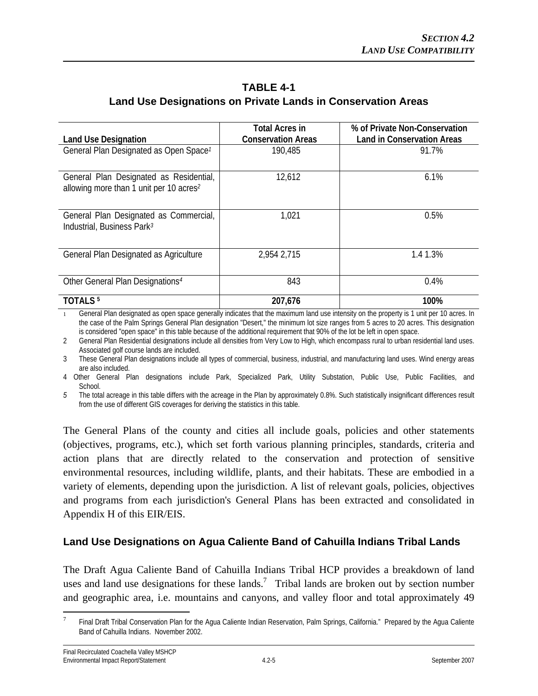# **TABLE 4-1 Land Use Designations on Private Lands in Conservation Areas**

| <b>Land Use Designation</b>                                                                    | <b>Total Acres in</b><br><b>Conservation Areas</b> | % of Private Non-Conservation<br><b>Land in Conservation Areas</b> |
|------------------------------------------------------------------------------------------------|----------------------------------------------------|--------------------------------------------------------------------|
| General Plan Designated as Open Space <sup>1</sup>                                             | 190,485                                            | 91.7%                                                              |
| General Plan Designated as Residential,<br>allowing more than 1 unit per 10 acres <sup>2</sup> | 12,612                                             | 6.1%                                                               |
| General Plan Designated as Commercial,<br>Industrial, Business Park <sup>3</sup>               | 1,021                                              | 0.5%                                                               |
| General Plan Designated as Agriculture                                                         | 2,954 2,715                                        | 1.4 1.3%                                                           |
| Other General Plan Designations <sup>4</sup>                                                   | 843                                                | 0.4%                                                               |
| TOTALS <sup>5</sup>                                                                            | 207,676                                            | 100%                                                               |

General Plan designated as open space generally indicates that the maximum land use intensity on the property is 1 unit per 10 acres. In the case of the Palm Springs General Plan designation "Desert," the minimum lot size ranges from 5 acres to 20 acres. This designation is considered "open space" in this table because of the additional requirement that 90% of the lot be left in open space.

2 General Plan Residential designations include all densities from Very Low to High, which encompass rural to urban residential land uses. Associated golf course lands are included.

3 These General Plan designations include all types of commercial, business, industrial, and manufacturing land uses. Wind energy areas are also included.

4 Other General Plan designations include Park, Specialized Park, Utility Substation, Public Use, Public Facilities, and School.

*5* The total acreage in this table differs with the acreage in the Plan by approximately 0.8%. Such statistically insignificant differences result from the use of different GIS coverages for deriving the statistics in this table.

The General Plans of the county and cities all include goals, policies and other statements (objectives, programs, etc.), which set forth various planning principles, standards, criteria and action plans that are directly related to the conservation and protection of sensitive environmental resources, including wildlife, plants, and their habitats. These are embodied in a variety of elements, depending upon the jurisdiction. A list of relevant goals, policies, objectives and programs from each jurisdiction's General Plans has been extracted and consolidated in Appendix H of this EIR/EIS.

# **Land Use Designations on Agua Caliente Band of Cahuilla Indians Tribal Lands**

The Draft Agua Caliente Band of Cahuilla Indians Tribal HCP provides a breakdown of land uses and land use designations for these lands.<sup>7</sup> Tribal lands are broken out by section number and geographic area, i.e. mountains and canyons, and valley floor and total approximately 49

<sup>-&</sup>lt;br>7 Final Draft Tribal Conservation Plan for the Agua Caliente Indian Reservation, Palm Springs, California." Prepared by the Agua Caliente Band of Cahuilla Indians. November 2002.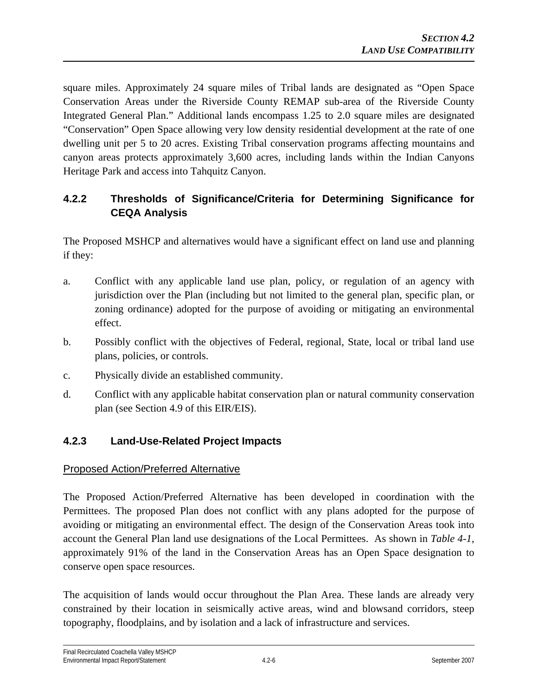square miles. Approximately 24 square miles of Tribal lands are designated as "Open Space Conservation Areas under the Riverside County REMAP sub-area of the Riverside County Integrated General Plan." Additional lands encompass 1.25 to 2.0 square miles are designated "Conservation" Open Space allowing very low density residential development at the rate of one dwelling unit per 5 to 20 acres. Existing Tribal conservation programs affecting mountains and canyon areas protects approximately 3,600 acres, including lands within the Indian Canyons Heritage Park and access into Tahquitz Canyon.

# **4.2.2 Thresholds of Significance/Criteria for Determining Significance for CEQA Analysis**

The Proposed MSHCP and alternatives would have a significant effect on land use and planning if they:

- a. Conflict with any applicable land use plan, policy, or regulation of an agency with jurisdiction over the Plan (including but not limited to the general plan, specific plan, or zoning ordinance) adopted for the purpose of avoiding or mitigating an environmental effect.
- b. Possibly conflict with the objectives of Federal, regional, State, local or tribal land use plans, policies, or controls.
- c. Physically divide an established community.
- d. Conflict with any applicable habitat conservation plan or natural community conservation plan (see Section 4.9 of this EIR/EIS).

# **4.2.3 Land-Use-Related Project Impacts**

# Proposed Action/Preferred Alternative

The Proposed Action/Preferred Alternative has been developed in coordination with the Permittees. The proposed Plan does not conflict with any plans adopted for the purpose of avoiding or mitigating an environmental effect. The design of the Conservation Areas took into account the General Plan land use designations of the Local Permittees. As shown in *Table 4-1*, approximately 91% of the land in the Conservation Areas has an Open Space designation to conserve open space resources.

The acquisition of lands would occur throughout the Plan Area. These lands are already very constrained by their location in seismically active areas, wind and blowsand corridors, steep topography, floodplains, and by isolation and a lack of infrastructure and services.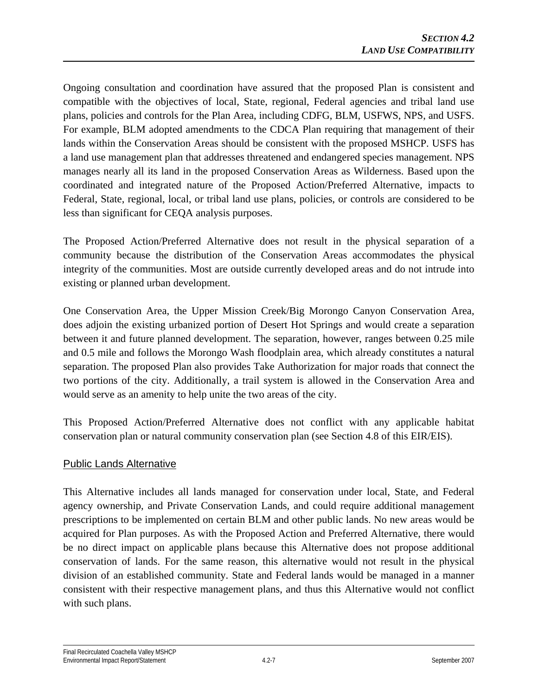Ongoing consultation and coordination have assured that the proposed Plan is consistent and compatible with the objectives of local, State, regional, Federal agencies and tribal land use plans, policies and controls for the Plan Area, including CDFG, BLM, USFWS, NPS, and USFS. For example, BLM adopted amendments to the CDCA Plan requiring that management of their lands within the Conservation Areas should be consistent with the proposed MSHCP. USFS has a land use management plan that addresses threatened and endangered species management. NPS manages nearly all its land in the proposed Conservation Areas as Wilderness. Based upon the coordinated and integrated nature of the Proposed Action/Preferred Alternative, impacts to Federal, State, regional, local, or tribal land use plans, policies, or controls are considered to be less than significant for CEQA analysis purposes.

The Proposed Action/Preferred Alternative does not result in the physical separation of a community because the distribution of the Conservation Areas accommodates the physical integrity of the communities. Most are outside currently developed areas and do not intrude into existing or planned urban development.

One Conservation Area, the Upper Mission Creek/Big Morongo Canyon Conservation Area, does adjoin the existing urbanized portion of Desert Hot Springs and would create a separation between it and future planned development. The separation, however, ranges between 0.25 mile and 0.5 mile and follows the Morongo Wash floodplain area, which already constitutes a natural separation. The proposed Plan also provides Take Authorization for major roads that connect the two portions of the city. Additionally, a trail system is allowed in the Conservation Area and would serve as an amenity to help unite the two areas of the city.

This Proposed Action/Preferred Alternative does not conflict with any applicable habitat conservation plan or natural community conservation plan (see Section 4.8 of this EIR/EIS).

### Public Lands Alternative

This Alternative includes all lands managed for conservation under local, State, and Federal agency ownership, and Private Conservation Lands, and could require additional management prescriptions to be implemented on certain BLM and other public lands. No new areas would be acquired for Plan purposes. As with the Proposed Action and Preferred Alternative, there would be no direct impact on applicable plans because this Alternative does not propose additional conservation of lands. For the same reason, this alternative would not result in the physical division of an established community. State and Federal lands would be managed in a manner consistent with their respective management plans, and thus this Alternative would not conflict with such plans.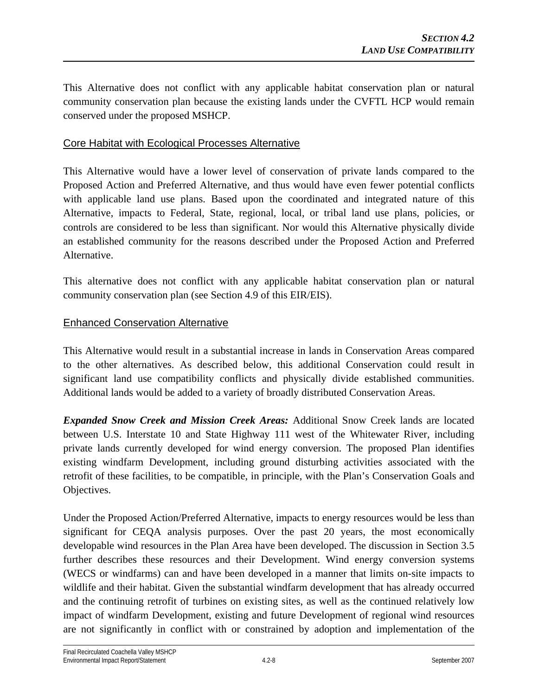This Alternative does not conflict with any applicable habitat conservation plan or natural community conservation plan because the existing lands under the CVFTL HCP would remain conserved under the proposed MSHCP.

#### Core Habitat with Ecological Processes Alternative

This Alternative would have a lower level of conservation of private lands compared to the Proposed Action and Preferred Alternative, and thus would have even fewer potential conflicts with applicable land use plans. Based upon the coordinated and integrated nature of this Alternative, impacts to Federal, State, regional, local, or tribal land use plans, policies, or controls are considered to be less than significant. Nor would this Alternative physically divide an established community for the reasons described under the Proposed Action and Preferred Alternative.

This alternative does not conflict with any applicable habitat conservation plan or natural community conservation plan (see Section 4.9 of this EIR/EIS).

### Enhanced Conservation Alternative

This Alternative would result in a substantial increase in lands in Conservation Areas compared to the other alternatives. As described below, this additional Conservation could result in significant land use compatibility conflicts and physically divide established communities. Additional lands would be added to a variety of broadly distributed Conservation Areas.

*Expanded Snow Creek and Mission Creek Areas:* Additional Snow Creek lands are located between U.S. Interstate 10 and State Highway 111 west of the Whitewater River, including private lands currently developed for wind energy conversion. The proposed Plan identifies existing windfarm Development, including ground disturbing activities associated with the retrofit of these facilities, to be compatible, in principle, with the Plan's Conservation Goals and Objectives.

Under the Proposed Action/Preferred Alternative, impacts to energy resources would be less than significant for CEQA analysis purposes. Over the past 20 years, the most economically developable wind resources in the Plan Area have been developed. The discussion in Section 3.5 further describes these resources and their Development. Wind energy conversion systems (WECS or windfarms) can and have been developed in a manner that limits on-site impacts to wildlife and their habitat. Given the substantial windfarm development that has already occurred and the continuing retrofit of turbines on existing sites, as well as the continued relatively low impact of windfarm Development, existing and future Development of regional wind resources are not significantly in conflict with or constrained by adoption and implementation of the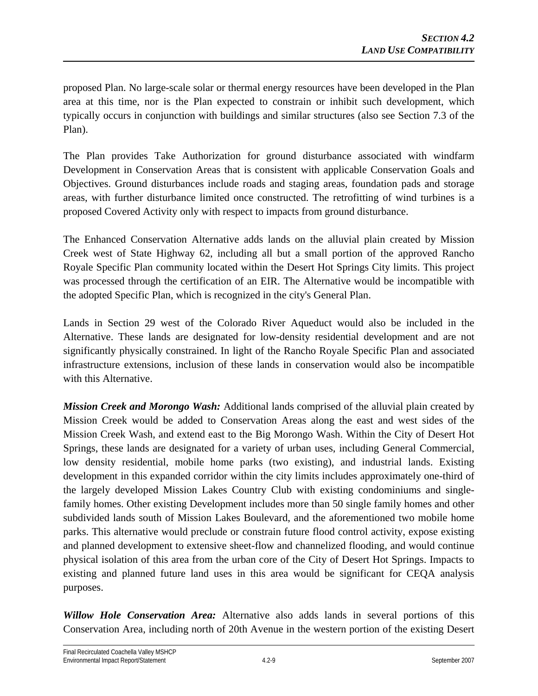proposed Plan. No large-scale solar or thermal energy resources have been developed in the Plan area at this time, nor is the Plan expected to constrain or inhibit such development, which typically occurs in conjunction with buildings and similar structures (also see Section 7.3 of the Plan).

The Plan provides Take Authorization for ground disturbance associated with windfarm Development in Conservation Areas that is consistent with applicable Conservation Goals and Objectives. Ground disturbances include roads and staging areas, foundation pads and storage areas, with further disturbance limited once constructed. The retrofitting of wind turbines is a proposed Covered Activity only with respect to impacts from ground disturbance.

The Enhanced Conservation Alternative adds lands on the alluvial plain created by Mission Creek west of State Highway 62, including all but a small portion of the approved Rancho Royale Specific Plan community located within the Desert Hot Springs City limits. This project was processed through the certification of an EIR. The Alternative would be incompatible with the adopted Specific Plan, which is recognized in the city's General Plan.

Lands in Section 29 west of the Colorado River Aqueduct would also be included in the Alternative. These lands are designated for low-density residential development and are not significantly physically constrained. In light of the Rancho Royale Specific Plan and associated infrastructure extensions, inclusion of these lands in conservation would also be incompatible with this Alternative.

*Mission Creek and Morongo Wash:* Additional lands comprised of the alluvial plain created by Mission Creek would be added to Conservation Areas along the east and west sides of the Mission Creek Wash, and extend east to the Big Morongo Wash. Within the City of Desert Hot Springs, these lands are designated for a variety of urban uses, including General Commercial, low density residential, mobile home parks (two existing), and industrial lands. Existing development in this expanded corridor within the city limits includes approximately one-third of the largely developed Mission Lakes Country Club with existing condominiums and singlefamily homes. Other existing Development includes more than 50 single family homes and other subdivided lands south of Mission Lakes Boulevard, and the aforementioned two mobile home parks. This alternative would preclude or constrain future flood control activity, expose existing and planned development to extensive sheet-flow and channelized flooding, and would continue physical isolation of this area from the urban core of the City of Desert Hot Springs. Impacts to existing and planned future land uses in this area would be significant for CEQA analysis purposes.

*Willow Hole Conservation Area:* Alternative also adds lands in several portions of this Conservation Area, including north of 20th Avenue in the western portion of the existing Desert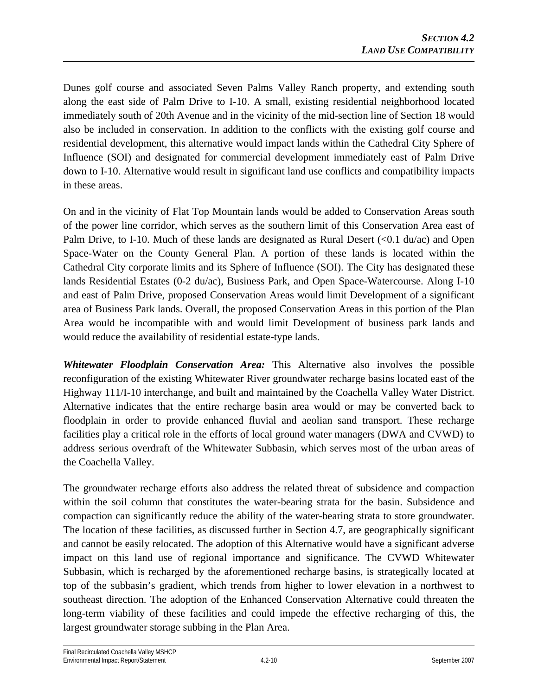Dunes golf course and associated Seven Palms Valley Ranch property, and extending south along the east side of Palm Drive to I-10. A small, existing residential neighborhood located immediately south of 20th Avenue and in the vicinity of the mid-section line of Section 18 would also be included in conservation. In addition to the conflicts with the existing golf course and residential development, this alternative would impact lands within the Cathedral City Sphere of Influence (SOI) and designated for commercial development immediately east of Palm Drive down to I-10. Alternative would result in significant land use conflicts and compatibility impacts in these areas.

On and in the vicinity of Flat Top Mountain lands would be added to Conservation Areas south of the power line corridor, which serves as the southern limit of this Conservation Area east of Palm Drive, to I-10. Much of these lands are designated as Rural Desert  $\langle 0.1 \text{ du/ac} \rangle$  and Open Space-Water on the County General Plan. A portion of these lands is located within the Cathedral City corporate limits and its Sphere of Influence (SOI). The City has designated these lands Residential Estates (0-2 du/ac), Business Park, and Open Space-Watercourse. Along I-10 and east of Palm Drive, proposed Conservation Areas would limit Development of a significant area of Business Park lands. Overall, the proposed Conservation Areas in this portion of the Plan Area would be incompatible with and would limit Development of business park lands and would reduce the availability of residential estate-type lands.

*Whitewater Floodplain Conservation Area:* This Alternative also involves the possible reconfiguration of the existing Whitewater River groundwater recharge basins located east of the Highway 111/I-10 interchange, and built and maintained by the Coachella Valley Water District. Alternative indicates that the entire recharge basin area would or may be converted back to floodplain in order to provide enhanced fluvial and aeolian sand transport. These recharge facilities play a critical role in the efforts of local ground water managers (DWA and CVWD) to address serious overdraft of the Whitewater Subbasin, which serves most of the urban areas of the Coachella Valley.

The groundwater recharge efforts also address the related threat of subsidence and compaction within the soil column that constitutes the water-bearing strata for the basin. Subsidence and compaction can significantly reduce the ability of the water-bearing strata to store groundwater. The location of these facilities, as discussed further in Section 4.7, are geographically significant and cannot be easily relocated. The adoption of this Alternative would have a significant adverse impact on this land use of regional importance and significance. The CVWD Whitewater Subbasin, which is recharged by the aforementioned recharge basins, is strategically located at top of the subbasin's gradient, which trends from higher to lower elevation in a northwest to southeast direction. The adoption of the Enhanced Conservation Alternative could threaten the long-term viability of these facilities and could impede the effective recharging of this, the largest groundwater storage subbing in the Plan Area.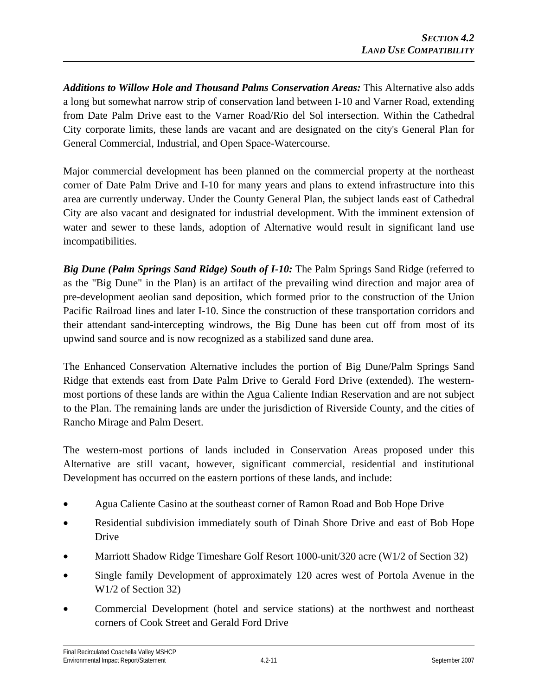*Additions to Willow Hole and Thousand Palms Conservation Areas:* This Alternative also adds a long but somewhat narrow strip of conservation land between I-10 and Varner Road, extending from Date Palm Drive east to the Varner Road/Rio del Sol intersection. Within the Cathedral City corporate limits, these lands are vacant and are designated on the city's General Plan for General Commercial, Industrial, and Open Space-Watercourse.

Major commercial development has been planned on the commercial property at the northeast corner of Date Palm Drive and I-10 for many years and plans to extend infrastructure into this area are currently underway. Under the County General Plan, the subject lands east of Cathedral City are also vacant and designated for industrial development. With the imminent extension of water and sewer to these lands, adoption of Alternative would result in significant land use incompatibilities.

*Big Dune (Palm Springs Sand Ridge) South of I-10:* The Palm Springs Sand Ridge (referred to as the "Big Dune" in the Plan) is an artifact of the prevailing wind direction and major area of pre-development aeolian sand deposition, which formed prior to the construction of the Union Pacific Railroad lines and later I-10. Since the construction of these transportation corridors and their attendant sand-intercepting windrows, the Big Dune has been cut off from most of its upwind sand source and is now recognized as a stabilized sand dune area.

The Enhanced Conservation Alternative includes the portion of Big Dune/Palm Springs Sand Ridge that extends east from Date Palm Drive to Gerald Ford Drive (extended). The westernmost portions of these lands are within the Agua Caliente Indian Reservation and are not subject to the Plan. The remaining lands are under the jurisdiction of Riverside County, and the cities of Rancho Mirage and Palm Desert.

The western-most portions of lands included in Conservation Areas proposed under this Alternative are still vacant, however, significant commercial, residential and institutional Development has occurred on the eastern portions of these lands, and include:

- Agua Caliente Casino at the southeast corner of Ramon Road and Bob Hope Drive
- Residential subdivision immediately south of Dinah Shore Drive and east of Bob Hope Drive
- Marriott Shadow Ridge Timeshare Golf Resort 1000-unit/320 acre (W1/2 of Section 32)
- Single family Development of approximately 120 acres west of Portola Avenue in the W1/2 of Section 32)
- Commercial Development (hotel and service stations) at the northwest and northeast corners of Cook Street and Gerald Ford Drive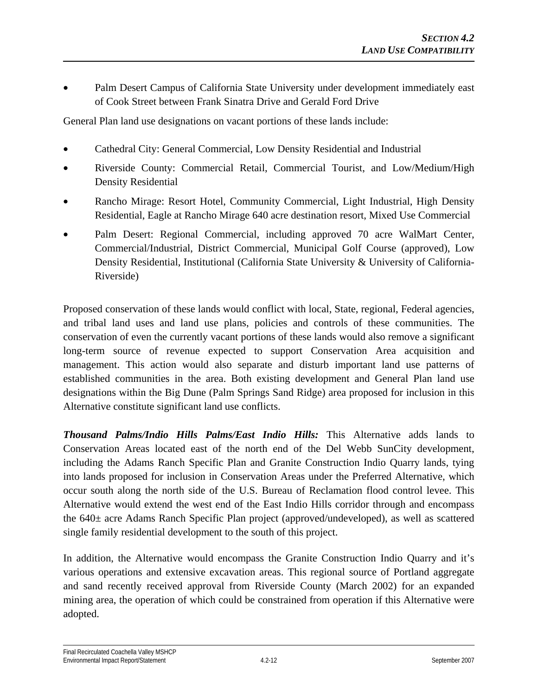• Palm Desert Campus of California State University under development immediately east of Cook Street between Frank Sinatra Drive and Gerald Ford Drive

General Plan land use designations on vacant portions of these lands include:

- Cathedral City: General Commercial, Low Density Residential and Industrial
- Riverside County: Commercial Retail, Commercial Tourist, and Low/Medium/High Density Residential
- Rancho Mirage: Resort Hotel, Community Commercial, Light Industrial, High Density Residential, Eagle at Rancho Mirage 640 acre destination resort, Mixed Use Commercial
- Palm Desert: Regional Commercial, including approved 70 acre WalMart Center, Commercial/Industrial, District Commercial, Municipal Golf Course (approved), Low Density Residential, Institutional (California State University & University of California-Riverside)

Proposed conservation of these lands would conflict with local, State, regional, Federal agencies, and tribal land uses and land use plans, policies and controls of these communities. The conservation of even the currently vacant portions of these lands would also remove a significant long-term source of revenue expected to support Conservation Area acquisition and management. This action would also separate and disturb important land use patterns of established communities in the area. Both existing development and General Plan land use designations within the Big Dune (Palm Springs Sand Ridge) area proposed for inclusion in this Alternative constitute significant land use conflicts.

*Thousand Palms/Indio Hills Palms/East Indio Hills:* This Alternative adds lands to Conservation Areas located east of the north end of the Del Webb SunCity development, including the Adams Ranch Specific Plan and Granite Construction Indio Quarry lands, tying into lands proposed for inclusion in Conservation Areas under the Preferred Alternative, which occur south along the north side of the U.S. Bureau of Reclamation flood control levee. This Alternative would extend the west end of the East Indio Hills corridor through and encompass the 640± acre Adams Ranch Specific Plan project (approved/undeveloped), as well as scattered single family residential development to the south of this project.

In addition, the Alternative would encompass the Granite Construction Indio Quarry and it's various operations and extensive excavation areas. This regional source of Portland aggregate and sand recently received approval from Riverside County (March 2002) for an expanded mining area, the operation of which could be constrained from operation if this Alternative were adopted.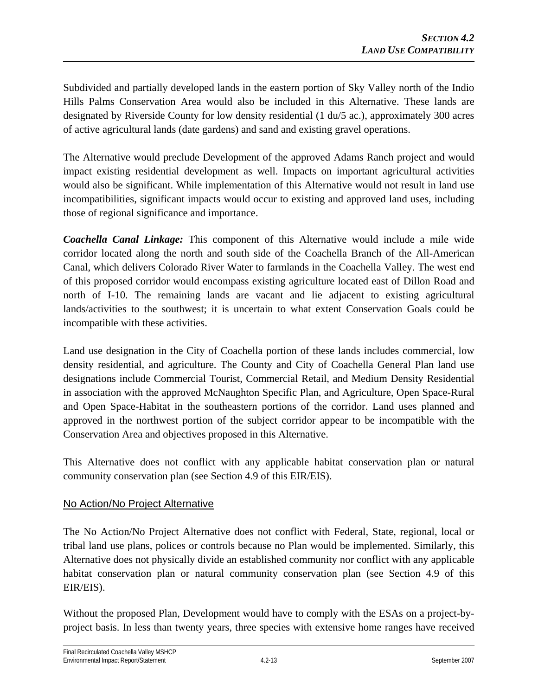Subdivided and partially developed lands in the eastern portion of Sky Valley north of the Indio Hills Palms Conservation Area would also be included in this Alternative. These lands are designated by Riverside County for low density residential (1 du/5 ac.), approximately 300 acres of active agricultural lands (date gardens) and sand and existing gravel operations.

The Alternative would preclude Development of the approved Adams Ranch project and would impact existing residential development as well. Impacts on important agricultural activities would also be significant. While implementation of this Alternative would not result in land use incompatibilities, significant impacts would occur to existing and approved land uses, including those of regional significance and importance.

*Coachella Canal Linkage:* This component of this Alternative would include a mile wide corridor located along the north and south side of the Coachella Branch of the All-American Canal, which delivers Colorado River Water to farmlands in the Coachella Valley. The west end of this proposed corridor would encompass existing agriculture located east of Dillon Road and north of I-10. The remaining lands are vacant and lie adjacent to existing agricultural lands/activities to the southwest; it is uncertain to what extent Conservation Goals could be incompatible with these activities.

Land use designation in the City of Coachella portion of these lands includes commercial, low density residential, and agriculture. The County and City of Coachella General Plan land use designations include Commercial Tourist, Commercial Retail, and Medium Density Residential in association with the approved McNaughton Specific Plan, and Agriculture, Open Space-Rural and Open Space-Habitat in the southeastern portions of the corridor. Land uses planned and approved in the northwest portion of the subject corridor appear to be incompatible with the Conservation Area and objectives proposed in this Alternative.

This Alternative does not conflict with any applicable habitat conservation plan or natural community conservation plan (see Section 4.9 of this EIR/EIS).

# No Action/No Project Alternative

The No Action/No Project Alternative does not conflict with Federal, State, regional, local or tribal land use plans, polices or controls because no Plan would be implemented. Similarly, this Alternative does not physically divide an established community nor conflict with any applicable habitat conservation plan or natural community conservation plan (see Section 4.9 of this EIR/EIS).

Without the proposed Plan, Development would have to comply with the ESAs on a project-byproject basis. In less than twenty years, three species with extensive home ranges have received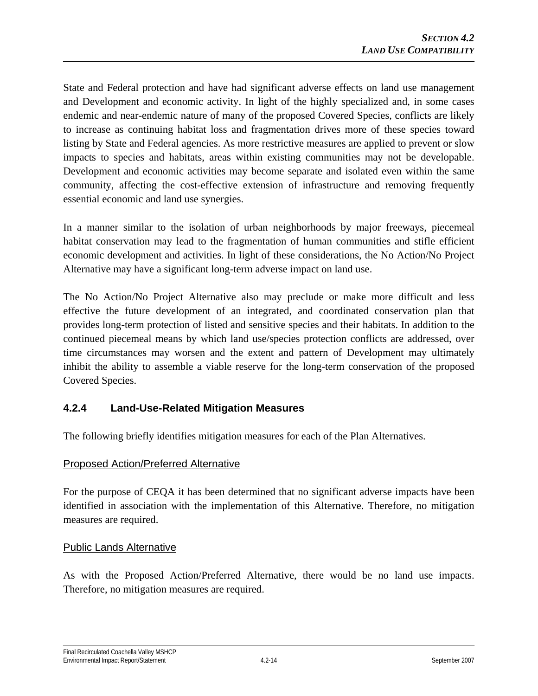State and Federal protection and have had significant adverse effects on land use management and Development and economic activity. In light of the highly specialized and, in some cases endemic and near-endemic nature of many of the proposed Covered Species, conflicts are likely to increase as continuing habitat loss and fragmentation drives more of these species toward listing by State and Federal agencies. As more restrictive measures are applied to prevent or slow impacts to species and habitats, areas within existing communities may not be developable. Development and economic activities may become separate and isolated even within the same community, affecting the cost-effective extension of infrastructure and removing frequently essential economic and land use synergies.

In a manner similar to the isolation of urban neighborhoods by major freeways, piecemeal habitat conservation may lead to the fragmentation of human communities and stifle efficient economic development and activities. In light of these considerations, the No Action/No Project Alternative may have a significant long-term adverse impact on land use.

The No Action/No Project Alternative also may preclude or make more difficult and less effective the future development of an integrated, and coordinated conservation plan that provides long-term protection of listed and sensitive species and their habitats. In addition to the continued piecemeal means by which land use/species protection conflicts are addressed, over time circumstances may worsen and the extent and pattern of Development may ultimately inhibit the ability to assemble a viable reserve for the long-term conservation of the proposed Covered Species.

# **4.2.4 Land-Use-Related Mitigation Measures**

The following briefly identifies mitigation measures for each of the Plan Alternatives.

### Proposed Action/Preferred Alternative

For the purpose of CEQA it has been determined that no significant adverse impacts have been identified in association with the implementation of this Alternative. Therefore, no mitigation measures are required.

### Public Lands Alternative

As with the Proposed Action/Preferred Alternative, there would be no land use impacts. Therefore, no mitigation measures are required.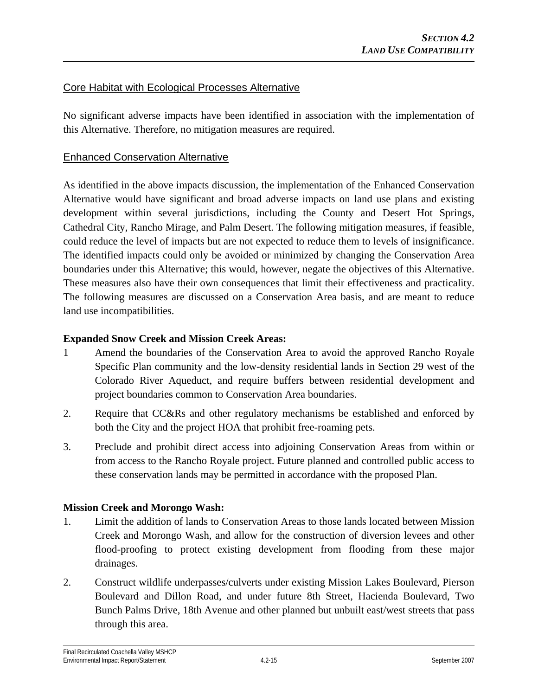## Core Habitat with Ecological Processes Alternative

No significant adverse impacts have been identified in association with the implementation of this Alternative. Therefore, no mitigation measures are required.

### Enhanced Conservation Alternative

As identified in the above impacts discussion, the implementation of the Enhanced Conservation Alternative would have significant and broad adverse impacts on land use plans and existing development within several jurisdictions, including the County and Desert Hot Springs, Cathedral City, Rancho Mirage, and Palm Desert. The following mitigation measures, if feasible, could reduce the level of impacts but are not expected to reduce them to levels of insignificance. The identified impacts could only be avoided or minimized by changing the Conservation Area boundaries under this Alternative; this would, however, negate the objectives of this Alternative. These measures also have their own consequences that limit their effectiveness and practicality. The following measures are discussed on a Conservation Area basis, and are meant to reduce land use incompatibilities.

### **Expanded Snow Creek and Mission Creek Areas:**

- 1 Amend the boundaries of the Conservation Area to avoid the approved Rancho Royale Specific Plan community and the low-density residential lands in Section 29 west of the Colorado River Aqueduct, and require buffers between residential development and project boundaries common to Conservation Area boundaries.
- 2. Require that CC&Rs and other regulatory mechanisms be established and enforced by both the City and the project HOA that prohibit free-roaming pets.
- 3. Preclude and prohibit direct access into adjoining Conservation Areas from within or from access to the Rancho Royale project. Future planned and controlled public access to these conservation lands may be permitted in accordance with the proposed Plan.

### **Mission Creek and Morongo Wash:**

- 1. Limit the addition of lands to Conservation Areas to those lands located between Mission Creek and Morongo Wash, and allow for the construction of diversion levees and other flood-proofing to protect existing development from flooding from these major drainages.
- 2. Construct wildlife underpasses/culverts under existing Mission Lakes Boulevard, Pierson Boulevard and Dillon Road, and under future 8th Street, Hacienda Boulevard, Two Bunch Palms Drive, 18th Avenue and other planned but unbuilt east/west streets that pass through this area.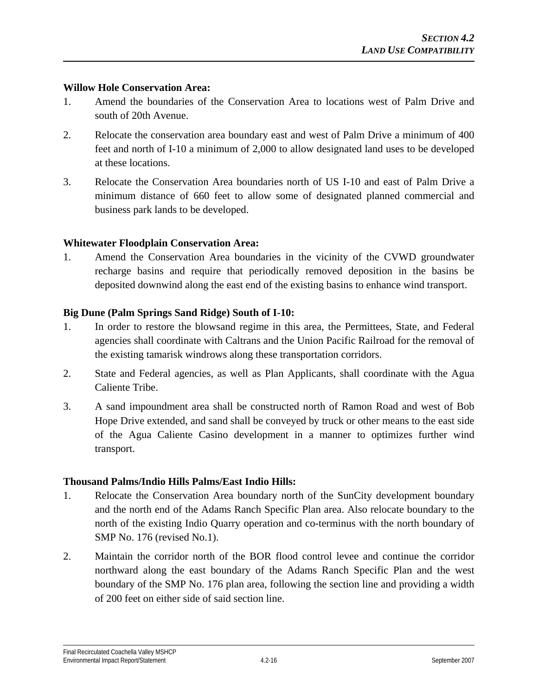#### **Willow Hole Conservation Area:**

- 1. Amend the boundaries of the Conservation Area to locations west of Palm Drive and south of 20th Avenue.
- 2. Relocate the conservation area boundary east and west of Palm Drive a minimum of 400 feet and north of I-10 a minimum of 2,000 to allow designated land uses to be developed at these locations.
- 3. Relocate the Conservation Area boundaries north of US I-10 and east of Palm Drive a minimum distance of 660 feet to allow some of designated planned commercial and business park lands to be developed.

### **Whitewater Floodplain Conservation Area:**

1. Amend the Conservation Area boundaries in the vicinity of the CVWD groundwater recharge basins and require that periodically removed deposition in the basins be deposited downwind along the east end of the existing basins to enhance wind transport.

### **Big Dune (Palm Springs Sand Ridge) South of I-10:**

- 1. In order to restore the blowsand regime in this area, the Permittees, State, and Federal agencies shall coordinate with Caltrans and the Union Pacific Railroad for the removal of the existing tamarisk windrows along these transportation corridors.
- 2. State and Federal agencies, as well as Plan Applicants, shall coordinate with the Agua Caliente Tribe.
- 3. A sand impoundment area shall be constructed north of Ramon Road and west of Bob Hope Drive extended, and sand shall be conveyed by truck or other means to the east side of the Agua Caliente Casino development in a manner to optimizes further wind transport.

### **Thousand Palms/Indio Hills Palms/East Indio Hills:**

- 1. Relocate the Conservation Area boundary north of the SunCity development boundary and the north end of the Adams Ranch Specific Plan area. Also relocate boundary to the north of the existing Indio Quarry operation and co-terminus with the north boundary of SMP No. 176 (revised No.1).
- 2. Maintain the corridor north of the BOR flood control levee and continue the corridor northward along the east boundary of the Adams Ranch Specific Plan and the west boundary of the SMP No. 176 plan area, following the section line and providing a width of 200 feet on either side of said section line.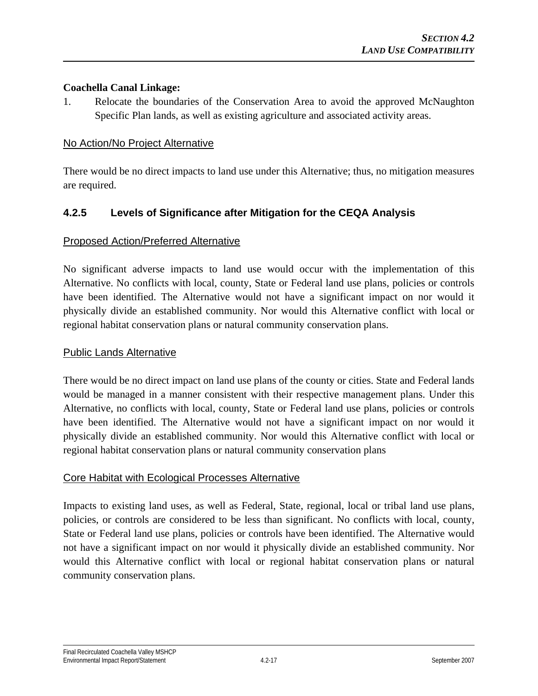#### **Coachella Canal Linkage:**

1. Relocate the boundaries of the Conservation Area to avoid the approved McNaughton Specific Plan lands, as well as existing agriculture and associated activity areas.

#### No Action/No Project Alternative

There would be no direct impacts to land use under this Alternative; thus, no mitigation measures are required.

## **4.2.5 Levels of Significance after Mitigation for the CEQA Analysis**

#### Proposed Action/Preferred Alternative

No significant adverse impacts to land use would occur with the implementation of this Alternative. No conflicts with local, county, State or Federal land use plans, policies or controls have been identified. The Alternative would not have a significant impact on nor would it physically divide an established community. Nor would this Alternative conflict with local or regional habitat conservation plans or natural community conservation plans.

#### Public Lands Alternative

There would be no direct impact on land use plans of the county or cities. State and Federal lands would be managed in a manner consistent with their respective management plans. Under this Alternative, no conflicts with local, county, State or Federal land use plans, policies or controls have been identified. The Alternative would not have a significant impact on nor would it physically divide an established community. Nor would this Alternative conflict with local or regional habitat conservation plans or natural community conservation plans

### Core Habitat with Ecological Processes Alternative

Impacts to existing land uses, as well as Federal, State, regional, local or tribal land use plans, policies, or controls are considered to be less than significant. No conflicts with local, county, State or Federal land use plans, policies or controls have been identified. The Alternative would not have a significant impact on nor would it physically divide an established community. Nor would this Alternative conflict with local or regional habitat conservation plans or natural community conservation plans.